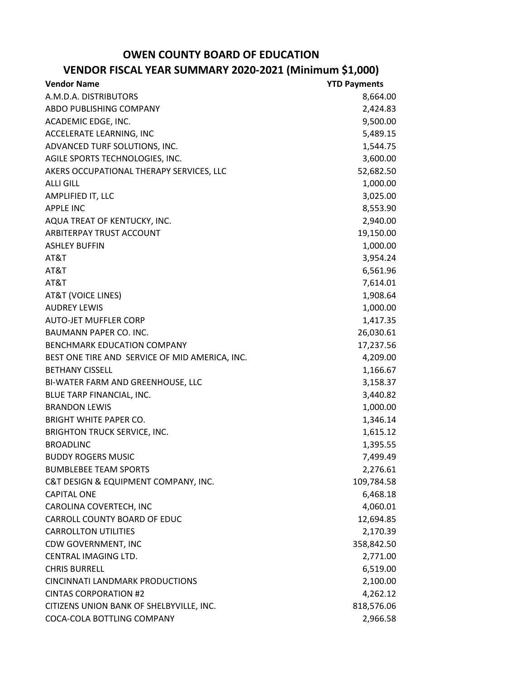## **OWEN COUNTY BOARD OF EDUCATION**

## **VENDOR FISCAL YEAR SUMMARY 2020-2021 (Minimum \$1,000)**

| <b>Vendor Name</b>                             | <b>YTD Payments</b> |
|------------------------------------------------|---------------------|
| A.M.D.A. DISTRIBUTORS                          | 8,664.00            |
| ABDO PUBLISHING COMPANY                        | 2,424.83            |
| ACADEMIC EDGE, INC.                            | 9,500.00            |
| ACCELERATE LEARNING, INC                       | 5,489.15            |
| ADVANCED TURF SOLUTIONS, INC.                  | 1,544.75            |
| AGILE SPORTS TECHNOLOGIES, INC.                | 3,600.00            |
| AKERS OCCUPATIONAL THERAPY SERVICES, LLC       | 52,682.50           |
| <b>ALLI GILL</b>                               | 1,000.00            |
| AMPLIFIED IT, LLC                              | 3,025.00            |
| <b>APPLE INC</b>                               | 8,553.90            |
| AQUA TREAT OF KENTUCKY, INC.                   | 2,940.00            |
| ARBITERPAY TRUST ACCOUNT                       | 19,150.00           |
| <b>ASHLEY BUFFIN</b>                           | 1,000.00            |
| AT&T                                           | 3,954.24            |
| AT&T                                           | 6,561.96            |
| AT&T                                           | 7,614.01            |
| <b>AT&amp;T (VOICE LINES)</b>                  | 1,908.64            |
| <b>AUDREY LEWIS</b>                            | 1,000.00            |
| <b>AUTO-JET MUFFLER CORP</b>                   | 1,417.35            |
| <b>BAUMANN PAPER CO. INC.</b>                  | 26,030.61           |
| BENCHMARK EDUCATION COMPANY                    | 17,237.56           |
| BEST ONE TIRE AND SERVICE OF MID AMERICA, INC. | 4,209.00            |
| <b>BETHANY CISSELL</b>                         | 1,166.67            |
| BI-WATER FARM AND GREENHOUSE, LLC              | 3,158.37            |
| BLUE TARP FINANCIAL, INC.                      | 3,440.82            |
| <b>BRANDON LEWIS</b>                           | 1,000.00            |
| <b>BRIGHT WHITE PAPER CO.</b>                  | 1,346.14            |
| <b>BRIGHTON TRUCK SERVICE, INC.</b>            | 1,615.12            |
| <b>BROADLINC</b>                               | 1,395.55            |
| <b>BUDDY ROGERS MUSIC</b>                      | 7,499.49            |
| <b>BUMBLEBEE TEAM SPORTS</b>                   | 2,276.61            |
| C&T DESIGN & EQUIPMENT COMPANY, INC.           | 109,784.58          |
| <b>CAPITAL ONE</b>                             | 6,468.18            |
| CAROLINA COVERTECH, INC                        | 4,060.01            |
| CARROLL COUNTY BOARD OF EDUC                   | 12,694.85           |
| <b>CARROLLTON UTILITIES</b>                    | 2,170.39            |
| CDW GOVERNMENT, INC                            | 358,842.50          |
| CENTRAL IMAGING LTD.                           | 2,771.00            |
| <b>CHRIS BURRELL</b>                           | 6,519.00            |
| <b>CINCINNATI LANDMARK PRODUCTIONS</b>         | 2,100.00            |
| <b>CINTAS CORPORATION #2</b>                   | 4,262.12            |
| CITIZENS UNION BANK OF SHELBYVILLE, INC.       | 818,576.06          |
| COCA-COLA BOTTLING COMPANY                     | 2,966.58            |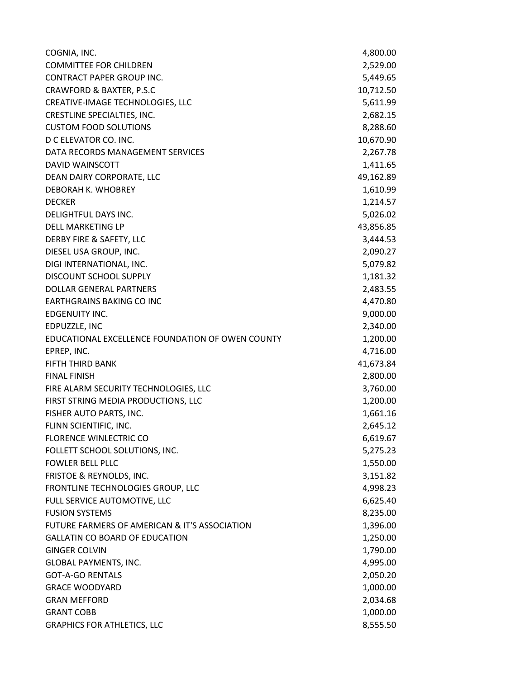| COGNIA, INC.                                     | 4,800.00  |
|--------------------------------------------------|-----------|
| <b>COMMITTEE FOR CHILDREN</b>                    | 2,529.00  |
| <b>CONTRACT PAPER GROUP INC.</b>                 | 5,449.65  |
| <b>CRAWFORD &amp; BAXTER, P.S.C</b>              | 10,712.50 |
| CREATIVE-IMAGE TECHNOLOGIES, LLC                 | 5,611.99  |
| CRESTLINE SPECIALTIES, INC.                      | 2,682.15  |
| <b>CUSTOM FOOD SOLUTIONS</b>                     | 8,288.60  |
| D C ELEVATOR CO. INC.                            | 10,670.90 |
| DATA RECORDS MANAGEMENT SERVICES                 | 2,267.78  |
| <b>DAVID WAINSCOTT</b>                           | 1,411.65  |
| DEAN DAIRY CORPORATE, LLC                        | 49,162.89 |
| DEBORAH K. WHOBREY                               | 1,610.99  |
| <b>DECKER</b>                                    | 1,214.57  |
| DELIGHTFUL DAYS INC.                             | 5,026.02  |
| <b>DELL MARKETING LP</b>                         | 43,856.85 |
| DERBY FIRE & SAFETY, LLC                         | 3,444.53  |
| DIESEL USA GROUP, INC.                           | 2,090.27  |
| DIGI INTERNATIONAL, INC.                         | 5,079.82  |
| DISCOUNT SCHOOL SUPPLY                           | 1,181.32  |
| <b>DOLLAR GENERAL PARTNERS</b>                   | 2,483.55  |
| <b>EARTHGRAINS BAKING CO INC</b>                 | 4,470.80  |
| EDGENUITY INC.                                   | 9,000.00  |
| EDPUZZLE, INC                                    | 2,340.00  |
| EDUCATIONAL EXCELLENCE FOUNDATION OF OWEN COUNTY | 1,200.00  |
| EPREP, INC.                                      | 4,716.00  |
| <b>FIFTH THIRD BANK</b>                          | 41,673.84 |
| <b>FINAL FINISH</b>                              | 2,800.00  |
| FIRE ALARM SECURITY TECHNOLOGIES, LLC            | 3,760.00  |
| FIRST STRING MEDIA PRODUCTIONS, LLC              | 1,200.00  |
| FISHER AUTO PARTS, INC.                          | 1,661.16  |
| FLINN SCIENTIFIC, INC.                           | 2,645.12  |
| <b>FLORENCE WINLECTRIC CO</b>                    | 6,619.67  |
| FOLLETT SCHOOL SOLUTIONS, INC.                   | 5,275.23  |
| <b>FOWLER BELL PLLC</b>                          | 1,550.00  |
| FRISTOE & REYNOLDS, INC.                         | 3,151.82  |
| FRONTLINE TECHNOLOGIES GROUP, LLC                | 4,998.23  |
| FULL SERVICE AUTOMOTIVE, LLC                     | 6,625.40  |
| <b>FUSION SYSTEMS</b>                            | 8,235.00  |
| FUTURE FARMERS OF AMERICAN & IT'S ASSOCIATION    | 1,396.00  |
| <b>GALLATIN CO BOARD OF EDUCATION</b>            | 1,250.00  |
| <b>GINGER COLVIN</b>                             | 1,790.00  |
| <b>GLOBAL PAYMENTS, INC.</b>                     | 4,995.00  |
| <b>GOT-A-GO RENTALS</b>                          | 2,050.20  |
| <b>GRACE WOODYARD</b>                            | 1,000.00  |
| <b>GRAN MEFFORD</b>                              | 2,034.68  |
| <b>GRANT COBB</b>                                | 1,000.00  |
| <b>GRAPHICS FOR ATHLETICS, LLC</b>               | 8,555.50  |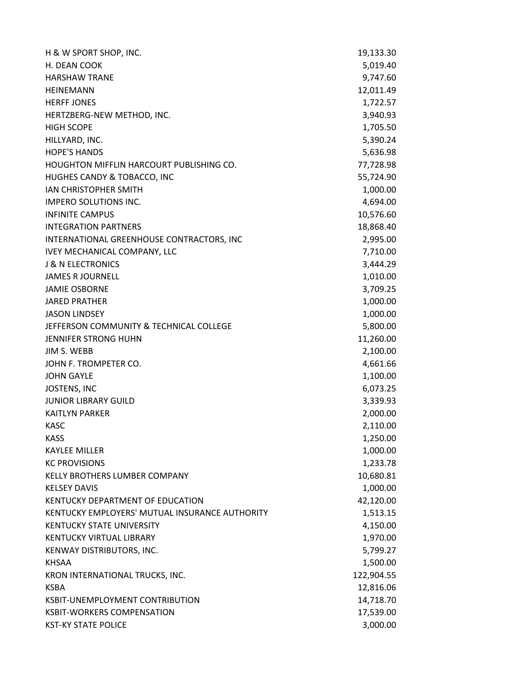| H & W SPORT SHOP, INC.                          | 19,133.30  |
|-------------------------------------------------|------------|
| H. DEAN COOK                                    | 5,019.40   |
| <b>HARSHAW TRANE</b>                            | 9,747.60   |
| <b>HEINEMANN</b>                                | 12,011.49  |
| <b>HERFF JONES</b>                              | 1,722.57   |
| HERTZBERG-NEW METHOD, INC.                      | 3,940.93   |
| <b>HIGH SCOPE</b>                               | 1,705.50   |
| HILLYARD, INC.                                  | 5,390.24   |
| <b>HOPE'S HANDS</b>                             | 5,636.98   |
| <b>HOUGHTON MIFFLIN HARCOURT PUBLISHING CO.</b> | 77,728.98  |
| HUGHES CANDY & TOBACCO, INC                     | 55,724.90  |
| <b>JAN CHRISTOPHER SMITH</b>                    | 1,000.00   |
| <b>IMPERO SOLUTIONS INC.</b>                    | 4,694.00   |
| <b>INFINITE CAMPUS</b>                          | 10,576.60  |
| <b>INTEGRATION PARTNERS</b>                     | 18,868.40  |
| INTERNATIONAL GREENHOUSE CONTRACTORS, INC       | 2,995.00   |
| <b>IVEY MECHANICAL COMPANY, LLC</b>             | 7,710.00   |
| <b>J &amp; N ELECTRONICS</b>                    | 3,444.29   |
| <b>JAMES R JOURNELL</b>                         | 1,010.00   |
| <b>JAMIE OSBORNE</b>                            | 3,709.25   |
| <b>JARED PRATHER</b>                            | 1,000.00   |
| <b>JASON LINDSEY</b>                            | 1,000.00   |
| JEFFERSON COMMUNITY & TECHNICAL COLLEGE         | 5,800.00   |
| <b>JENNIFER STRONG HUHN</b>                     | 11,260.00  |
| JIM S. WEBB                                     | 2,100.00   |
| JOHN F. TROMPETER CO.                           | 4,661.66   |
| <b>JOHN GAYLE</b>                               | 1,100.00   |
| <b>JOSTENS, INC</b>                             | 6,073.25   |
| <b>JUNIOR LIBRARY GUILD</b>                     | 3,339.93   |
| <b>KAITLYN PARKER</b>                           | 2,000.00   |
| <b>KASC</b>                                     | 2,110.00   |
| <b>KASS</b>                                     | 1,250.00   |
| <b>KAYLEE MILLER</b>                            | 1,000.00   |
| <b>KC PROVISIONS</b>                            | 1,233.78   |
| KELLY BROTHERS LUMBER COMPANY                   | 10,680.81  |
| <b>KELSEY DAVIS</b>                             | 1,000.00   |
| KENTUCKY DEPARTMENT OF EDUCATION                | 42,120.00  |
| KENTUCKY EMPLOYERS' MUTUAL INSURANCE AUTHORITY  | 1,513.15   |
| <b>KENTUCKY STATE UNIVERSITY</b>                | 4,150.00   |
| <b>KENTUCKY VIRTUAL LIBRARY</b>                 | 1,970.00   |
| KENWAY DISTRIBUTORS, INC.                       | 5,799.27   |
| <b>KHSAA</b>                                    | 1,500.00   |
| KRON INTERNATIONAL TRUCKS, INC.                 | 122,904.55 |
| <b>KSBA</b>                                     | 12,816.06  |
| KSBIT-UNEMPLOYMENT CONTRIBUTION                 | 14,718.70  |
| <b>KSBIT-WORKERS COMPENSATION</b>               | 17,539.00  |
| <b>KST-KY STATE POLICE</b>                      | 3,000.00   |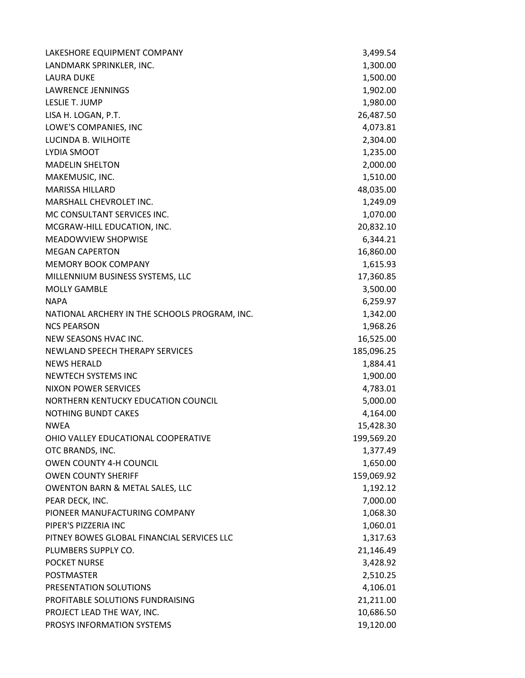| LAKESHORE EQUIPMENT COMPANY                   | 3,499.54   |
|-----------------------------------------------|------------|
| LANDMARK SPRINKLER, INC.                      | 1,300.00   |
| <b>LAURA DUKE</b>                             | 1,500.00   |
| <b>LAWRENCE JENNINGS</b>                      | 1,902.00   |
| LESLIE T. JUMP                                | 1,980.00   |
| LISA H. LOGAN, P.T.                           | 26,487.50  |
| LOWE'S COMPANIES, INC                         | 4,073.81   |
| LUCINDA B. WILHOITE                           | 2,304.00   |
| LYDIA SMOOT                                   | 1,235.00   |
| <b>MADELIN SHELTON</b>                        | 2,000.00   |
| MAKEMUSIC, INC.                               | 1,510.00   |
| <b>MARISSA HILLARD</b>                        | 48,035.00  |
| MARSHALL CHEVROLET INC.                       | 1,249.09   |
| MC CONSULTANT SERVICES INC.                   | 1,070.00   |
| MCGRAW-HILL EDUCATION, INC.                   | 20,832.10  |
| <b>MEADOWVIEW SHOPWISE</b>                    | 6,344.21   |
| <b>MEGAN CAPERTON</b>                         | 16,860.00  |
| <b>MEMORY BOOK COMPANY</b>                    | 1,615.93   |
| MILLENNIUM BUSINESS SYSTEMS, LLC              | 17,360.85  |
| <b>MOLLY GAMBLE</b>                           | 3,500.00   |
| <b>NAPA</b>                                   | 6,259.97   |
| NATIONAL ARCHERY IN THE SCHOOLS PROGRAM, INC. | 1,342.00   |
| <b>NCS PEARSON</b>                            | 1,968.26   |
| NEW SEASONS HVAC INC.                         | 16,525.00  |
| NEWLAND SPEECH THERAPY SERVICES               | 185,096.25 |
| <b>NEWS HERALD</b>                            | 1,884.41   |
| <b>NEWTECH SYSTEMS INC</b>                    | 1,900.00   |
| <b>NIXON POWER SERVICES</b>                   | 4,783.01   |
| NORTHERN KENTUCKY EDUCATION COUNCIL           | 5,000.00   |
| <b>NOTHING BUNDT CAKES</b>                    | 4,164.00   |
| NWEA                                          | 15,428.30  |
| OHIO VALLEY EDUCATIONAL COOPERATIVE           | 199,569.20 |
| OTC BRANDS, INC.                              | 1,377.49   |
| <b>OWEN COUNTY 4-H COUNCIL</b>                | 1,650.00   |
| <b>OWEN COUNTY SHERIFF</b>                    | 159,069.92 |
| <b>OWENTON BARN &amp; METAL SALES, LLC</b>    | 1,192.12   |
| PEAR DECK, INC.                               | 7,000.00   |
| PIONEER MANUFACTURING COMPANY                 | 1,068.30   |
| PIPER'S PIZZERIA INC                          | 1,060.01   |
| PITNEY BOWES GLOBAL FINANCIAL SERVICES LLC    | 1,317.63   |
| PLUMBERS SUPPLY CO.                           | 21,146.49  |
| <b>POCKET NURSE</b>                           | 3,428.92   |
| <b>POSTMASTER</b>                             | 2,510.25   |
| PRESENTATION SOLUTIONS                        | 4,106.01   |
| PROFITABLE SOLUTIONS FUNDRAISING              | 21,211.00  |
| PROJECT LEAD THE WAY, INC.                    | 10,686.50  |
| PROSYS INFORMATION SYSTEMS                    | 19,120.00  |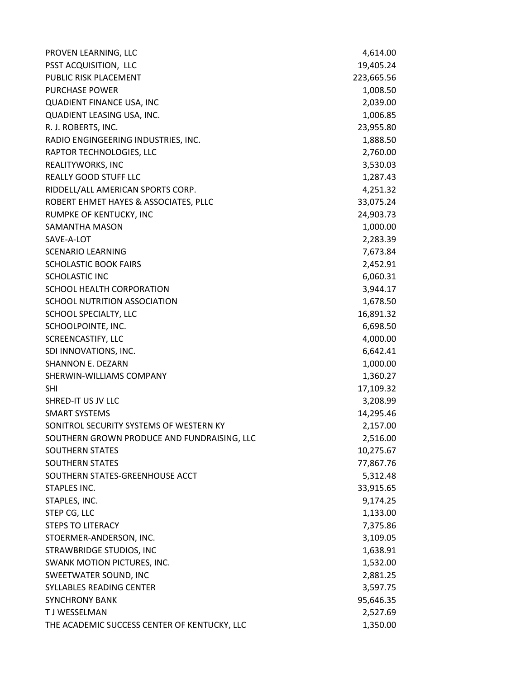| PROVEN LEARNING, LLC                         | 4,614.00   |
|----------------------------------------------|------------|
| PSST ACQUISITION, LLC                        | 19,405.24  |
| PUBLIC RISK PLACEMENT                        | 223,665.56 |
| <b>PURCHASE POWER</b>                        | 1,008.50   |
| QUADIENT FINANCE USA, INC                    | 2,039.00   |
| QUADIENT LEASING USA, INC.                   | 1,006.85   |
| R. J. ROBERTS, INC.                          | 23,955.80  |
| RADIO ENGINGEERING INDUSTRIES, INC.          | 1,888.50   |
| RAPTOR TECHNOLOGIES, LLC                     | 2,760.00   |
| REALITYWORKS, INC                            | 3,530.03   |
| <b>REALLY GOOD STUFF LLC</b>                 | 1,287.43   |
| RIDDELL/ALL AMERICAN SPORTS CORP.            | 4,251.32   |
| ROBERT EHMET HAYES & ASSOCIATES, PLLC        | 33,075.24  |
| RUMPKE OF KENTUCKY, INC                      | 24,903.73  |
| SAMANTHA MASON                               | 1,000.00   |
| SAVE-A-LOT                                   | 2,283.39   |
| <b>SCENARIO LEARNING</b>                     | 7,673.84   |
| <b>SCHOLASTIC BOOK FAIRS</b>                 | 2,452.91   |
| <b>SCHOLASTIC INC</b>                        | 6,060.31   |
| SCHOOL HEALTH CORPORATION                    | 3,944.17   |
| SCHOOL NUTRITION ASSOCIATION                 | 1,678.50   |
| SCHOOL SPECIALTY, LLC                        | 16,891.32  |
| SCHOOLPOINTE, INC.                           | 6,698.50   |
| SCREENCASTIFY, LLC                           | 4,000.00   |
| SDI INNOVATIONS, INC.                        | 6,642.41   |
| <b>SHANNON E. DEZARN</b>                     | 1,000.00   |
| SHERWIN-WILLIAMS COMPANY                     | 1,360.27   |
| <b>SHI</b>                                   | 17,109.32  |
| SHRED-IT US JV LLC                           | 3,208.99   |
| <b>SMART SYSTEMS</b>                         | 14,295.46  |
| SONITROL SECURITY SYSTEMS OF WESTERN KY      | 2,157.00   |
| SOUTHERN GROWN PRODUCE AND FUNDRAISING, LLC  | 2,516.00   |
| <b>SOUTHERN STATES</b>                       | 10,275.67  |
| <b>SOUTHERN STATES</b>                       | 77,867.76  |
| SOUTHERN STATES-GREENHOUSE ACCT              | 5,312.48   |
| STAPLES INC.                                 | 33,915.65  |
| STAPLES, INC.                                | 9,174.25   |
| STEP CG, LLC                                 | 1,133.00   |
| <b>STEPS TO LITERACY</b>                     | 7,375.86   |
| STOERMER-ANDERSON, INC.                      | 3,109.05   |
| STRAWBRIDGE STUDIOS, INC                     | 1,638.91   |
| SWANK MOTION PICTURES, INC.                  | 1,532.00   |
| SWEETWATER SOUND, INC                        | 2,881.25   |
| SYLLABLES READING CENTER                     | 3,597.75   |
| <b>SYNCHRONY BANK</b>                        | 95,646.35  |
| T J WESSELMAN                                | 2,527.69   |
| THE ACADEMIC SUCCESS CENTER OF KENTUCKY, LLC | 1,350.00   |